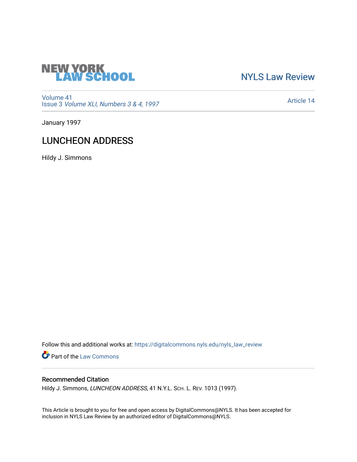

## [NYLS Law Review](https://digitalcommons.nyls.edu/nyls_law_review)

[Volume 41](https://digitalcommons.nyls.edu/nyls_law_review/vol41) Issue 3 [Volume XLI, Numbers 3 & 4, 1997](https://digitalcommons.nyls.edu/nyls_law_review/vol41/iss3)

[Article 14](https://digitalcommons.nyls.edu/nyls_law_review/vol41/iss3/14) 

January 1997

# LUNCHEON ADDRESS

Hildy J. Simmons

Follow this and additional works at: [https://digitalcommons.nyls.edu/nyls\\_law\\_review](https://digitalcommons.nyls.edu/nyls_law_review?utm_source=digitalcommons.nyls.edu%2Fnyls_law_review%2Fvol41%2Fiss3%2F14&utm_medium=PDF&utm_campaign=PDFCoverPages) 

Part of the [Law Commons](https://network.bepress.com/hgg/discipline/578?utm_source=digitalcommons.nyls.edu%2Fnyls_law_review%2Fvol41%2Fiss3%2F14&utm_medium=PDF&utm_campaign=PDFCoverPages)

### Recommended Citation

Hildy J. Simmons, LUNCHEON ADDRESS, 41 N.Y.L. SCH. L. REV. 1013 (1997).

This Article is brought to you for free and open access by DigitalCommons@NYLS. It has been accepted for inclusion in NYLS Law Review by an authorized editor of DigitalCommons@NYLS.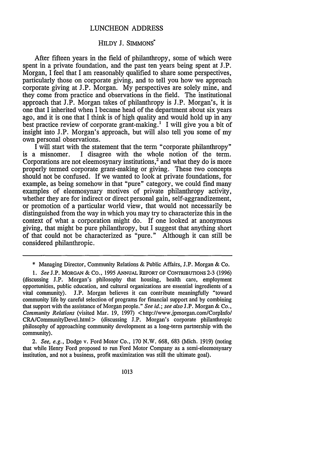#### LUNCHEON ADDRESS

#### HILDY J. SIMMONS

After fifteen years in the field of philanthropy, some of which were spent in a private foundation, and the past ten years being spent at J.P. Morgan, I feel that I am reasonably qualified to share some perspectives, particularly those on corporate giving, and to tell you how we approach corporate giving at J.P. Morgan. My perspectives are solely mine, and they come from practice and observations in the field. The institutional approach that  $J.P.$  Morgan takes of philanthropy is  $J.P.$  Morgan's, it is one that I inherited when I became head of the department about six years ago, and it is one that I think is of high quality and would hold up in any best practice review of corporate grant-making.' I will give you a bit of insight into J.P. Morgan's approach, but will also tell you some of my own personal observations.

I will start with the statement that the term "corporate philanthropy" is a misnomer. I disagree with the whole notion of the term. Corporations are not eleemosynary institutions,<sup>2</sup> and what they do is more properly termed corporate grant-making or giving. These two concepts should not be confused. If we wanted to look at private foundations, for example, as being somehow in that "pure" category, we could find many examples of eleemosynary motives of private philanthropy activity, whether they are for indirect or direct personal gain, self-aggrandizement, or promotion of a particular world view, that would not necessarily be distinguished from the way in which you may try to characterize this in the context of what a corporation might do. If one looked at anonymous giving, that might be pure philanthropy, but I suggest that anything short of that could not be characterized as "pure." Although it can still be considered philanthropic.

*2. See, e.g.,* Dodge v. Ford Motor Co., 170 N.W. 668, 683 (Mich. 1919) (noting that while Henry Ford proposed to run Ford Motor Company as a semi-eleemosynary institution, and not a business, profit maximization was still the ultimate goal).

1013

<sup>\*</sup> Managing Director, Community Relations & Public Affairs, J.P. Morgan & Co.

*<sup>1.</sup> See* J.P. MORGAN **&** CO., 1995 ANNUAL REPORT **OF** CONTRIBUTIONS 2-3 (1996) (discussing J.P. Morgan's philosophy that housing, health care, employment opportunities, public education, and cultural organizations are essential ingredients of a vital community). J.P. Morgan believes it can contribute meaningfully "toward community life by careful selection of programs for financial support and by combining that support with the assistance of Morgan people." *See id.; see also* J.P. Morgan & Co., *Community Relations* (visited Mar. 19, 1997) <http://www.jpmorgan.com/Corplnfo/ CRA/CommunityDevel.html> (discussing J.P. Morgan's corporate philanthropic philosophy of approaching community development as a long-term partnership with the community).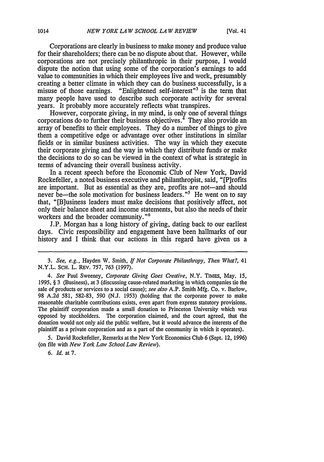Corporations are clearly in business to make money and produce value for their shareholders; there can be no dispute about that. However, while corporations are not precisely philanthropic in their purpose, I would dispute the notion that using some of the corporation's earnings to add value to communities in which their employees live and work, presumably creating a better climate in which they can do business successfully, is a misuse of those earnings. "Enlightened self-interest"<sup>3</sup> is the term that many people have used to describe such corporate activity for several years. It probably more accurately reflects what transpires.

However, corporate giving, in my mind, is only one of several things corporations do to further their business objectives.<sup> $4$ </sup> They also provide an array of benefits to their employees. They do a number of things to give them a competitive edge or advantage over other institutions in similar fields or in similar business activities. The way in which they execute their corporate giving and the way in which they distribute funds or make the decisions to do so can be viewed in the context of what is strategic in terms of advancing their overall business activity.

In a recent speech before the Economic Club of New York, David Rockefeller, a noted business executive and philanthropist, said, "[P]rofits are important. But as essential as they are, profits are not—and should never be—the sole motivation for business leaders.<sup>"5</sup> He went on to say that, "[B]usiness leaders must make decisions that positively affect, not only their balance sheet and income statements, but also the needs of their workers and the broader community."6

J.P. Morgan has a long history of giving, dating back to our earliest days. Civic responsibility and engagement have been hallmarks of our history and I think that our actions in this regard have given us a

5. David Rockefeller, Remarks at the New York Economics Club 6 (Sept. 12, 1996) (on file with *New York* Law *School Law Review).*

**6.** Id. at 7.

*<sup>3.</sup> See, e.g.,* Hayden W. Smith, *If Not Corporate Philanthropy, Then What?,* 41 N.Y.L. **SCH.** L. REv. 757, 763 (1997).

*<sup>4.</sup> See* Paul Sweeney, *Corporate Giving Goes Creative,* N.Y. TIMEs, May. 15, 1995, § 3 (Business), at 3 (discussing cause-related marketing in which companies tie the sale of products or services to a social cause); *see also* A.P. Smith Mfg. Co. v. Barlow, 98 A.2d 581, 582-83, 590 (N.J. 1953) (holding that the corporate power to make reasonable charitable contributions exists, even apart from express statutory provisions. The plaintiff corporation made a small donation to Princeton University which was opposed by stockholders. The corporation claimed, and the court agreed, that the donation would not only aid the public welfare, but it would advance the interests of the plaintiff as a private corporation and as a part of the community in which it operates).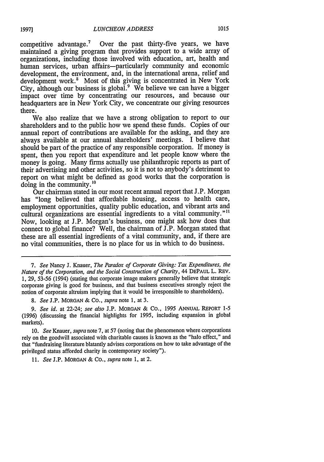competitive advantage.<sup>7</sup> Over the past thirty-five years, we have maintained a giving program that provides support to a wide array of organizations, including those involved with education, art, health and human services, urban affairs-particularly community and economic development, the environment, and, in the international arena, relief and development work.<sup>8</sup> Most of this giving is concentrated in New York City, although our business is global.<sup>9</sup> We believe we can have a bigger impact over time by concentrating our resources, and because our headquarters are in New York City, we concentrate our giving resources there.

We also realize that we have a strong obligation to report to our shareholders and to the public how we spend these funds. Copies of our annual report of contributions are available for the asking, and they are always available at our annual shareholders' meetings. I believe that should be part of the practice of any responsible corporation. If money is spent, then you report that expenditure and let people know where the money is going. Many firms actually use philanthropic reports as part of their advertising and other activities, so it is not to anybody's detriment to report on what might be defined as good works that the corporation is doing in the community. $^{10}$ 

Our chairman stated in our most recent annual report that J.P. Morgan has "long believed that affordable housing, access to health care, employment opportunities, quality public education, and vibrant arts and cultural organizations are essential ingredients to a vital community."<sup>11</sup> Now, looking at J.P. Morgan's business, one might ask how does that connect to global finance? Well, the chairman of J.P. Morgan stated that these are all essential ingredients of a vital community, and, if there are no vital communities, there is no place for us in which to do business.

7. See Nancy J. Knauer, *The Paradox of Corporate Giving: Tax Expenditures, the Nature of the Corporation, and the Social Construction of Charity,* 44 DEPAUL L. REv. 1, 29, 53-56 (1994) (stating that corporate image makers generally believe that strategic corporate giving is good for business, and that business executives strongly reject the notion of corporate altruism implying that it would be irresponsible to shareholders).

*8. See* J.P. MORGAN **&** Co., *supra* note 1, at 3.

*9. See id.* at 22-24; *see also* J.P. MORGAN & Co., 1995 ANNUAL REPORT **1-5** (1996) (discussing the financial highlights for 1995, including expansion in global markets).

10. *See* Knauer, *supra* note 7, at 57 (noting that the phenomenon where corporations rely on the goodwill associated with charitable causes is known as the "halo effect," and that "fundraising literature blatantly advises corporations on how to take advantage of the privileged status afforded charity in contemporary society").

*11. See* J.P. MORGAN & Co., *supra* note 1, at 2.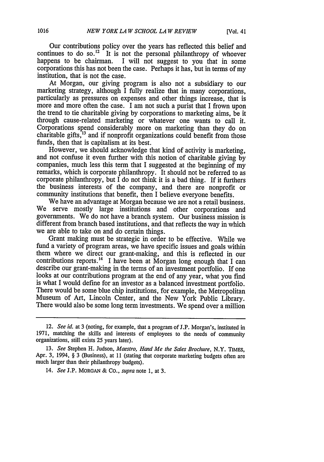Our contributions policy over the years has reflected this belief and continues to do so.<sup>12</sup> It is not the personal philanthropy of whoever happens to be chairman. I will not suggest to you that in some corporations this has not been the case. Perhaps it has, but in terms of my institution, that is not the case.

At Morgan, our giving program is also not a subsidiary to our marketing strategy, although I fully realize that in many corporations, particularly as pressures on expenses and other things increase, that is more and more often the case. I am not such a purist that I frown upon the trend to tie charitable giving by corporations to marketing aims, be it through cause-related marketing or whatever one wants to call it. Corporations spend considerably more on marketing than they do on charitable gifts, $^{13}$  and if nonprofit organizations could benefit from those funds, then that is capitalism at its best.<br>However, we should acknowledge that kind of activity is marketing.

and not confuse it even further with this notion of charitable giving by companies, much less this term that I suggested at the beginning of my remarks, which is corporate philanthropy. It should not be referred to as corporate philanthropy, but  $\overline{I}$  do not think it is a bad thing. If it furthers the business interests of the company, and there are nonprofit or community institutions that benefit, then I believe everyone benefits.

We have an advantage at Morgan because we are not a retail business. We serve mostly large institutions and other corporations and governments. We do not have a branch system. Our business mission is different from branch based institutions, and that reflects the way in which we are able to take on and do certain things.

Grant making must be strategic in order to be effective. While we fund a variety of program areas, we have specific issues and goals within them where we direct our grant-making, and this is reflected in our contributions reports.<sup>14</sup> I have been at Morgan long enough that I can describe our grant-making in the terms of an investment portfolio. If one looks at our contributions program at the end of any year, what you find is what I would define for an investor as a balanced investment portfolio. There would be some blue chip institutions, for example, the Metropolitan Museum of Art, Lincoln Center, and the New York Public Library. There would also be some long term investments. We spend over a million

<sup>12.</sup> *See id.* at 3 (noting, for example, that a program of J.P. Morgan's, instituted in 1971, matching the skills and interests of employees to the needs of community organizations, still exists 25 years later).

**<sup>13.</sup>** *See* Stephen H. Judson, *Maestro, Hand Me the Sales Brochure,* N.Y. TIMES, Apr. 3, 1994, § 3 (Business), at 11 (stating that corporate marketing budgets often are much larger than their philanthropy budgets).

<sup>14.</sup> *See* J.P. MORGAN & Co., *supra* note 1, at 3.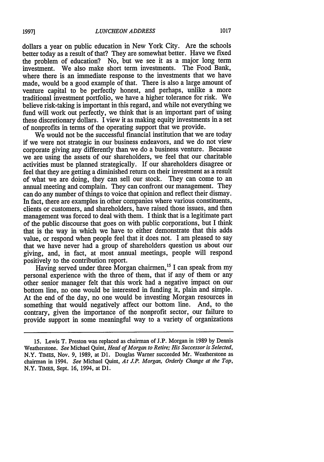dollars a year on public education in New York City. Are the schools better today as a result of that? They are somewhat better. Have we fixed the problem of education? No, but we see it as a major long term investment. We also make short term investments. The Food Bank, where there is an immediate response to the investments that we have made, would be a good example of that. There is also a large amount of venture capital to be perfectly honest, and perhaps, unlike a more traditional investment portfolio, we have a higher tolerance for risk. We believe risk-taking is important in this regard, and while not everything we fund will work out perfectly, we think that is an important part of using these discretionary dollars. I view it as making equity investments in a set of nonprofits in terms of the operating support that we provide.

We would not be the successful financial institution that we are today if we were not strategic in our business endeavors, and we do not view corporate giving any differently than we do a business venture. Because we are using the assets of our shareholders, we feel that our charitable activities must be planned strategically. If our shareholders disagree or feel that they are getting a diminished return on their investment as a result of what we are doing, they can sell our stock. They can come to an annual meeting and complain. They can confront our management. They can do any number of things to voice that opinion and reflect their dismay. In fact, there are examples in other companies where various constituents, clients or customers, and shareholders, have raised those issues, and then management was forced to deal with them. I think that is a legitimate part of the public discourse that goes on with public corporations, but I think that is the way in which we have to either demonstrate that this adds value, or respond when people feel that it does not. I am pleased to say that we have never had a group of shareholders question us about our giving, and, in fact, at most annual meetings, people will respond positively to the contribution report.

Having served under three Morgan chairmen,<sup>15</sup> I can speak from my personal experience with the three of them, that if any of them or any other senior manager felt that this work had a negative impact on our bottom line, no one would be interested in funding it, plain and simple. At the end of the day, no one would be investing Morgan resources in something that would negatively affect our bottom line. And, to the contrary, given the importance of the nonprofit sector, our failure to provide support in some meaningful way to a variety of organizations

<sup>15.</sup> Lewis T. Preston was replaced as chairman of J.P. Morgan in 1989 by Dennis Weatherstone. *See* Michael Quint, *Head of Morgan to Retire; His Successor is Selected,* N.Y. TIMEs, Nov. 9, 1989, at **D1.** Douglas Warner succeeded Mr. Weatherstone as chairman in 1994. *See* Michael Quint, *At J.P. Morgan, Orderly Change at the Top,* N.Y. TIMEs, Sept. **16,** 1994, at **D1.**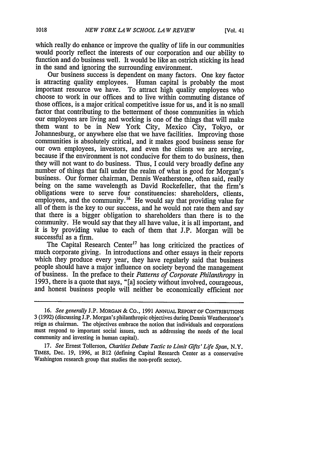which really do enhance or improve the quality of life in our communities would poorly reflect the interests of our corporation and our ability to function and do business well. It would be like an ostrich sticking its head in the sand and ignoring the surrounding environment.

Our business success is dependent on many factors. One key factor is attracting quality employees. Human capital is probably the most important resource we have. To attract high quality employees who choose to work in our offices and to live within commuting distance of those offices, is a major critical competitive issue for us, and it is no small factor that contributing to the betterment of those communities in which our employees are living and working is one of the things that will make them want to be in New York City, Mexico City, Tokyo, or Johannesburg, or anywhere else that we have facilities. Improving those communities is absolutely critical, and it makes good business sense for our own employees, investors, and even the clients we are serving. because if the environment is not conducive for them to do business, then they will not want to do business. Thus, I could very broadly define any number of things that fall under the realm of what is good for Morgan's business. Our former chairman, Dennis Weatherstone, often said, really being on the same wavelength as David Rockefeller, that the firm's obligations were to serve four constituencies: shareholders, clients, employees, and the community.<sup>16</sup> He would say that providing value for all of them is the key to our success, and he would not rate them and say that there is a bigger obligation to shareholders than there is to the community. He would say that they all have value, it is all important, and it is by providing value to each of them that J.P. Morgan will be successful as a firm.

The Capital Research Center<sup>17</sup> has long criticized the practices of much corporate giving. In introductions and other essays in their reports which they produce every year, they have regularly said that business people should have a major influence on society beyond the management of business. In the preface to their *Patterns of Corporate Philanthropy* in and honest business people will neither be economically efficient nor

**<sup>16.</sup>** *See generally* **J.P.** MORGAN & Co., 1991 ANNUAL REPORT **OF CONTRIBUTIONS** 3 (1992) (discussing J.P. Morgan's philanthropic objectives during Dennis Weatherstone's reign as chairman. The objectives embrace the notion that individuals and corporations must respond to important social issues, such as addressing the needs of the local community and investing in human capital).

<sup>17.</sup> *See* Ernest Tollerson, *Charities Debate Tactic to Limit Gifts' Life Span,* N.Y. TIMES, Dec. 19, 1996, at B12 (defining Capital Research Center as a conservative Washington research group that studies the non-profit sector).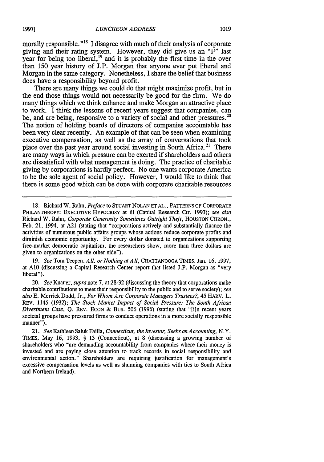morally responsible."<sup>18</sup> I disagree with much of their analysis of corporate giving and their rating system. However, they did give us an " $F$ " last year for being too liberal, <sup>19</sup> and it is probably the first time in the over than 150 year history of J.P. Morgan that anyone ever put liberal and Morgan in the same category. Nonetheless, I share the belief that business does have a responsibility beyond profit.

There are many things we could do that might maximize profit, but in the end those things would not necessarily be good for the firm. We do many things which we think enhance and make Morgan an attractive place to work. I think the lessons of recent years suggest that companies, can be, and are being, responsive to a variety of social and other pressures.<sup>20</sup> The notion of holding boards of directors of companies accountable has been very clear recently. An example of that can be seen when examining executive compensation, as well as the array of conversations that took place over the past year around social investing in South Africa.<sup>21</sup> There are many ways in which pressure can be exerted if shareholders and others are dissatisfied with what management is doing. The practice of charitable giving by corporations is hardly perfect. No one wants corporate America to be the sole agent of social policy. However, I would like to think that there is some good which can be done with corporate charitable resources

**18.** Richard W. Rahn, *Preface* **to STUART** NOLAN **ET AL.,** PATTERNS OF CORPORATE PHILANTHROPY: EXECUTIVE **HYPOCRIsY at** iii (Capital Research Ctr. 1993); *see also* Richard W. Rahn, *Corporate Generosity Sometimes Outright Theft,* HOUSTON CHRON., Feb. 21, 1994, at **A21** (stating that "corporations actively and substantially finance the activities of numerous public affairs groups whose actions reduce corporate profits and diminish economic opportunity. For every dollar donated to organizations supporting free-market democratic capitalism, the researchers show, more than three dollars are given to organizations on the other side").

**19.** *See* Tom Teepen, *All, or Nothing atAll,* **CHATTANOOGA** TIMES, Jan. 16, 1997, at **A10** (discussing a Capital Research Center report that listed J.P. Morgan as "very liberal").

20. *See* Knauer, *supra* note 7, at 28-32 (discussing the theory that corporations make charitable contributions to meet their responsibility to the public and to serve society); *see also* **E.** Merrick Dodd, Jr., *For Whom Are Corporate Managers Trustees?* 45 HARV. L. REv. 1145 (1932); *The Stock Market Impact of Social Pressure: The South African Divestment Case,* Q. REV. ECON & Bus. 506 (1996) (stating that "[i]n recent years societal groups have pressured firms to conduct operations in a more socially responsible manner").

21. *See* Kathleen Saluk Failla, *Connecticut, the Investor, Seeks an Accounting,* N.Y. TIMES, May 16, 1993, § 13 (Connecticut), at 8 (discussing a growing number of shareholders who "are demanding accountability from companies where their money is invested and are paying close attention to track records in social responsibility and environmental action." Shareholders are requiring justification for management's excessive compensation levels as well as shunning companies with ties to South Africa and Northern Ireland).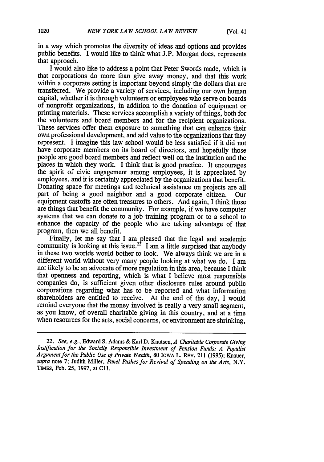in a way which promotes the diversity of ideas and options and provides public benefits. I would like to think what J.P. Morgan does, represents that approach.

I would also like to address a point that Peter Swords made, which is that corporations do more than give away money, and that this work within a corporate setting is important beyond simply the dollars that are transferred. We provide a variety of services, including our own human capital, whether it is through volunteers or employees who serve on boards of nonprofit organizations, in addition to the donation of equipment or printing materials. These services accomplish a variety of things, both for the volunteers and board members and for the recipient organizations. These services offer them exposure to something that can enhance their own professional development, and add value to the organizations that they represent. I imagine this law school would be less satisfied if it did not have corporate members on its board of directors, and hopefully those people are good board members and reflect well on the institution and the places in which they work. I think that is good practice. It encourages the spirit of civic engagement among employees, it is appreciated by employees, and it is certainly appreciated by the organizations that benefit. Donating space for meetings and technical assistance on projects are all part of being a good neighbor and a good corporate citizen. Our equipment castoffs are often treasures to others. And again, I think those are things that benefit the community. For example, if we have computer systems that we can donate to a job training program or to a school to enhance the capacity of the people who are taking advantage of that program, then we all benefit.

Finally, let me say that I am pleased that the legal and academic community is looking at this issue.<sup>22</sup> I am a little surprised that anybody in these two worlds would bother to look. We always think we are in a different world without very many people looking at what we do. I am not likely to be an advocate of more regulation in this area, because I think that openness and reporting, which is what I believe most responsible companies do, is sufficient given other disclosure rules around public corporations regarding what has to be reported and what information shareholders are entitled to receive. At the end of the day, I would remind everyone that the money involved is really a very small segment, as you know, of overall charitable giving in this country, and at a time when resources for the arts, social concerns, or environment are shrinking,

<sup>22.</sup> *See, e.g.,* Edward S. Adams & Karl D. Knutsen, *A Charitable Corporate Giving Justification for the Socially Responsible Investment of Pension Funds: A Populist A rgument for the Public Use of Private Wealth,* 80 IowA L. REv. 211 (1995); Knauer, *supra* note 7; Judith Miller, *Panel Pushes for Revival of Spending on the Arts,* N.Y. TIMEs, Feb. 25, 1997, at ClI.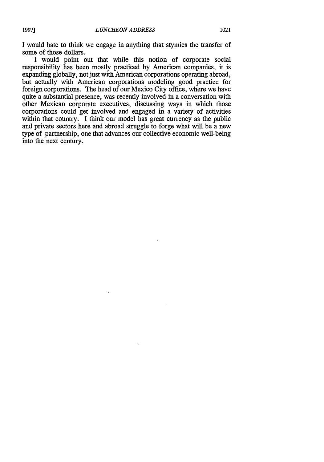I would hate to think we engage in anything that stymies the transfer of some of those dollars.

I would point out that while this notion of corporate social responsibility has been mostly practiced by American companies, it is expanding globally, not just with American corporations operating abroad, but actually with American corporations modeling good practice for foreign corporations. The head of our Mexico City office, where we have quite a substantial presence, was recently involved in a conversation with other Mexican corporate executives, discussing ways in which those corporations could get involved and engaged in a variety of activities within that country. I think our model has great currency as the public and private sectors here and abroad struggle to forge what will be a new type of partnership, one that advances our collective economic well-being into the next century.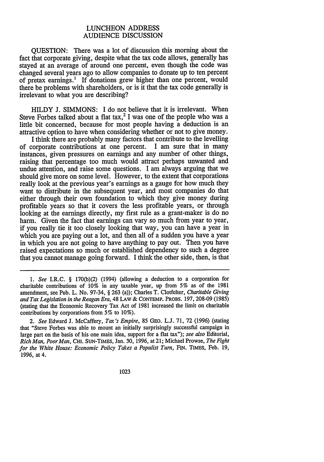#### LUNCHEON ADDRESS AUDIENCE DISCUSSION

QUESTION: There was a lot of discussion this morning about the fact that corporate giving, despite what the tax code allows, generally has stayed at an average of around one percent, even though the code was changed several years ago to allow companies to donate up to ten percent of pretax earnings.' If donations grew higher than one percent, would there be problems with shareholders, or is it that the tax code generally is irrelevant to what you are describing?

HILDY J. SIMMONS: I do not believe that it is irrelevant. When Steve Forbes talked about a flat tax,<sup>2</sup> I was one of the people who was a little bit concerned, because for most people having a deduction is an attractive option to have when considering whether or not to give money.

I think there are probably many factors that contribute to the levelling of corporate contributions at one percent. I am sure that in many instances, given pressures on earnings and any number of other things, raising that percentage too much would attract perhaps unwanted and undue attention, and raise some questions. I am always arguing that we should give more on some level. However, to the extent that corporations really look at the previous year's earnings as a gauge for how much they want to distribute in the subsequent year, and most companies do that either through their own foundation to which they give money during profitable years so that it covers the less profitable years, or through looking at the earnings directly, my first rule as a grant-maker is do no harm. Given the fact that earnings can vary so much from year to year, if you really tie it too closely looking that way, you can have a year in which you are paying out a lot, and then all of a sudden you have a year in which you are not going to have anything to pay out. Then you have raised expectations so much or established dependency to such a degree that you cannot manage going forward. I think the other side, then, is that

*1. See* I.R.C. § 170(b)(2) (1994) (allowing a deduction to a corporation for charitable contributions of 10% in any taxable year, up from 5% as of the 1981 amendment, see Pub. L. No. 97-34, § 263 (a)); Charles T. Clotfelter, *Charitable Giving* and Tax Legislation in the Reagan Era, 48 LAW & CONTEMP. PROBS. 197, 208-09 (1985) (stating that the Economic Recovery Tax Act of 1981 increased the limit on charitable contributions by corporations from 5% to 10%).

*2. See* Edward J. McCaffery, *Ta's Empire,* 85 GEo. L.J. 71, 72 (1996) (stating that "Steve Forbes was able to mount an initially surprisingly successful campaign in large part on the basis of his one main idea, support for a flat tax"); *see also* Editorial, *Rich Man, PoorMan,* **CHI.** SuN-TIMES, Jan. 30, 1996, at 21; Michael Prowse, *The Fight for the White House: Economic Policy Takes a Populist Turn,* FIN. TIMEs, Feb. 19, 1996, at 4.

1023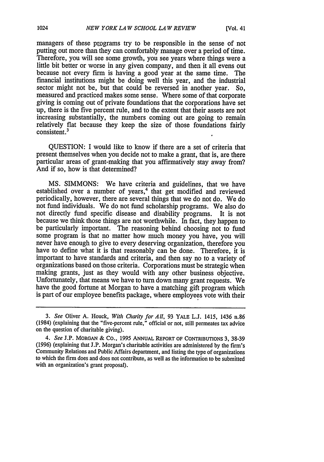managers of these ptograms try to be responsible in the sense of not putting out more than they can comfortably manage over a period of time. Therefore, you will see some growth, you see years where things were a little bit better or worse in any given company, and then it all evens out because not every firm is having a good year at the same time. The financial institutions might be doing well this year, and the industrial sector might not be, but that could be reversed in another year. So, measured and practiced makes some sense. Where some of that corporate giving is coming out of private foundations that the corporations have set up, there is the five percent rule, and to the extent that their assets are not increasing substantially, the numbers coming out are going to remain relatively flat because they keep the size of those foundations fairly consistent.3

QUESTION: I would like to know if there are a set of criteria that present themselves when you decide not to make a grant, that is, are there particular areas of grant-making that you affirmatively stay away from? And if so, how is that determined?

MS. SIMMONS: We have criteria and guidelines, that we have established over a number of years,<sup>4</sup> that get modified and reviewed periodically, however, there are several things that we do not do. We do not fund individuals. We do not fund scholarship programs. We also do not directly fund specific disease and disability programs. It is not because we think those things are not worthwhile. In fact, they happen to be particularly important. The reasoning behind choosing not to fund some program is that no matter how much money you have, you will never have enough to give to every deserving organization, therefore you have to define what it is that reasonably can be done. Therefore, it is important to have standards and criteria, and then say no to a variety of organizations based on those criteria. Corporations must be strategic when making grants, just as they would with any other business objective. Unfortunately, that means we have to turn down many grant requests. We have the good fortune at Morgan to have a matching gift program which is part of our employee benefits package, where employees vote with their

1024

*<sup>3.</sup> See* Oliver A. Houck, *With Charity for All,* 93 YALE L.J. 1415, 1436 n.86 (1984) (explaining that the "five-percent rule," official or not, still permeates tax advice on the question of charitable giving).

*<sup>4.</sup> See* J.P. MORGAN & Co., **1995** ANNUAL REPORT OF CONTRIBUTIONs **3, 38-39** (1996) (explaining that J.P. Morgan's charitable activities are administered by the firm's Community Relations and Public Affairs department, and listing the type of organizations to which the firm does and does not contribute, as well as the information to be submitted with an organization's grant proposal).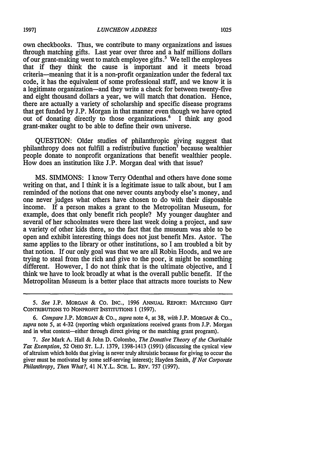own checkbooks. Thus, we contribute to many organizations and issues through matching gifts. Last year over three and a half millions dollars of our grant-making went to match employee gifts.<sup>5</sup> We tell the employees that if they think the cause is important and it meets broad criteria-meaning that it is a non-profit organization under the federal tax code, it has the equivalent of some professional staff, and we know it is a legitimate organization-and they write a check for between twenty-five and eight thousand dollars a year, we will match that donation. Hence, there are actually a variety of scholarship and specific disease programs that get funded by J.P. Morgan in that manner even though we have opted out of donating directly to those organizations.<sup>6</sup> I think any good grant-maker ought to be able to define their own universe.

QUESTION: Older studies of philanthropic giving suggest that philanthropy does not fulfill a redistributive function7 because wealthier people donate to nonprofit organizations that benefit wealthier people. How does an institution like J.P. Morgan deal with that issue?

MS. SIMMONS: I know Terry Odenthal and others have done some writing on that, and I think it is a legitimate issue to talk about, but I am reminded of the notions that one never counts anybody else's money, and one never judges what others have chosen to do with their disposable income. If a person makes a grant to the Metropolitan Museum, for example, does that only benefit rich people? My younger daughter and several of her schoolmates were there last week doing a project, and saw a variety of other kids there, so the fact that the museum was able to be open and exhibit interesting things does not just benefit Mrs. Astor. The same applies to the library or other institutions, so I am troubled a bit by that notion. If our only goal was that we are all Robin Hoods, and we are trying to steal from the rich and give to the poor, it might be something different. However, I do not think that is the ultimate objective, and I think we have to look broadly at what is the overall public benefit. If the Metropolitan Museum is a better place that attracts more tourists to New

*<sup>5.</sup> See* J.P. MORGAN & **CO.** INC., 1996 ANNUAL REPORT: **MATCHING** GIFr CONTRIBUTIONS TO NONPROFIT INSTITUTIONS 1 **(1997).**

*<sup>6.</sup> Compare* J.P. MORGAN & CO., *supra* note 4, at 38, *with* J.P. MORGAN & Co., *supra* note 5, at 4-32 (reporting which organizations received grants from J.P. Morgan and in what context-either through direct giving or the matching grant program).

*<sup>7.</sup> See* Mark A. Hall & John **D.** Colombo, *The Donative Theory of the Charitable Tax Exemption,* 52 OHIO ST. L.J. 1379, 1398-1413 (1991) (discussing the cynical view of altruism which holds that giving is never truly altruistic because for giving to occur the giver must be motivated by some self-serving interest); Hayden Smith, *If Not Corporate Philanthropy, Then What?,* 41 N.Y.L. SCH. L. REv. 757 (1997).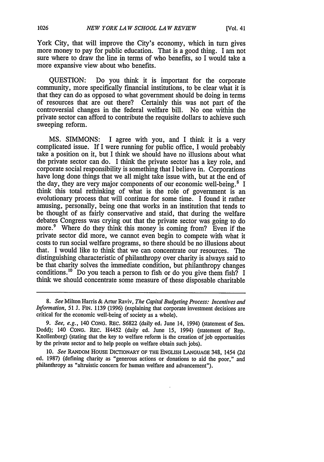York City, that will improve the City's economy, which in turn gives more money to pay for public education. That is a good thing. I am not sure where to draw the line in terms of who benefits, so I would take a more expansive view about who benefits.

QUESTION: Do you think it is important for the corporate community, more specifically financial institutions, to be clear what it is that they can do as opposed to what government should be doing in terms of resources that are out there? Certainly this was not part of the controversial changes in the federal welfare bill. No one within the private sector can afford to contribute the requisite dollars to achieve such sweeping reform.

MS. SIMMONS: I agree with you, and I think it is a very complicated issue. If I were running for public office, I would probably take a position on it, but I think we should have no illusions about what the private sector can do. I think the private sector has a key role, and corporate social responsibility is something that I believe in. Corporations have long done things that we all might take issue with, but at the end of the day, they are very major components of our economic well-being.<sup>8</sup> I think this total rethinking of what is the role of government is an evolutionary process that will continue for some time. I found it rather amusing, personally, being one that works in an institution that tends to be thought of as fairly conservative and staid, that during the welfare debates Congress was crying out that the private sector was going to do more.<sup>9</sup> Where do they think this money is coming from? Even if the private sector did more, we cannot even begin to compete with what it costs to run social welfare programs, so there should be no illusions about that. I would like to think that we can concentrate our resources. The distinguishing characteristic of philanthropy over charity is always said to be that charity solves the immediate condition, but philanthropy changes conditions.<sup>10</sup> Do you teach a person to fish or do you give them fish? I think we should concentrate some measure of these disposable charitable

*<sup>8.</sup> See* Milton Harris & Artur Raviv, *The Capital Budgeting Process: Incentives and Information, 51* **J.** FIN. 1139 (1996) (explaining that corporate investment decisions are critical for the economic well-being of society as a whole).

*<sup>9.</sup> See, e.g.,* 140 CONG. REc. S6822 (daily ed; June 14, 1994) (statement of Sen. Dodd); 140 CONG. REc. H4452 (daily ed. June **15,** 1994) (statement of Rep. Knollenberg) (stating that the key to welfare reform is the creation of job opportunities by the private sector and to help people on welfare obtain such jobs).

**<sup>10.</sup>** *See* RANDOM HOUSE DICTIONARY OF THE **ENGLISH LANGUAGE** 348, 1454 **(2d** ed. **1987)** (defining charity as "generous actions or donations to aid the poor," and philanthropy as "altruistic concern for human welfare and advancement").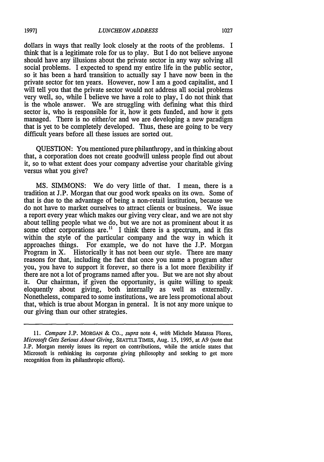dollars in ways that really look closely at the roots of the problems. I think that is a legitimate role for us to play. But I do not believe anyone should have any illusions about the private sector in any way solving all social problems. I expected to spend my entire life in the public sector, so it has been a hard transition to actually say I have now been in the private sector for ten years. However, now I am a good capitalist, and I will tell you that the private sector would not address all social problems very well, so, while I believe we have a role to play, I do not think that is the whole answer. We are struggling with defining what this third sector is, who is responsible for it, how it gets funded, and how it gets managed. There is no either/or and we are developing a new paradigm that is yet to be completely developed. Thus, these are going to be very difficult years before all these issues are sorted out.

QUESTION: You mentioned pure philanthropy, and in thinking about that, a corporation does not create goodwill unless people find out about it, so to what extent does your company advertise your charitable giving versus what you give?

MS. SIMMONS: We do very little of that. I mean, there is a tradition at J.P. Morgan that our good work speaks on its own. Some of that is due to the advantage of being a non-retail institution, because we do not have to market ourselves to attract clients or business. We issue a report every year which makes our giving very clear, and we are not shy about telling people what we do, but we are not as prominent about it as some other corporations are.<sup> $11$ </sup> I think there is a spectrum, and it fits within the style of the particular company and the way in which it approaches things. For example, we do not have the J.P. Morgan Program in X. Historically it has not been our style. There are many reasons for that, including the fact that once you name a program after you, you have to support it forever, so there is a lot more flexibility if there are not a lot of programs named after you. But we are not shy about it. Our chairman, if given the opportunity, is quite willing to speak eloquently about giving, both internally as well as externally. Nonetheless, compared to some institutions, we are less promotional about that, which is true about Morgan in general. It is not any more unique to our giving than our other strategies.

*<sup>11.</sup> Compare* J.P. MORGAN & CO., *supra* note 4, *with* Michele Matassa Flores, *Microsoft Gets Serious About Giving,* SEATTLE TIMEs, Aug. 15, 1995, at A9 (note that J.P. Morgan merely issues its report on contributions, while the article states that Microsoft is rethinking its corporate giving philosophy and seeking to get more recognition from its philanthropic efforts).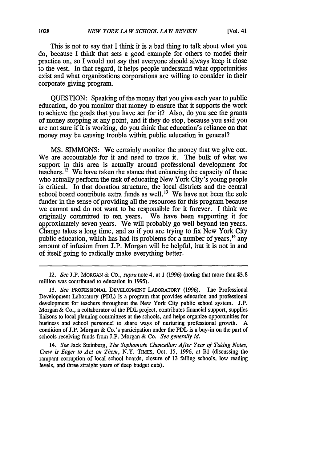This is not to say that I think it is a bad thing to talk about what you do, because I think that sets a good example for others to model their practice on, so I would not say that everyone should always keep it close to the vest. In that regard, it helps people understand what opportunities exist and what organizations corporations are willing to consider in their corporate giving program.

QUESTION: Speaking of the money that you give each year to public education, do you monitor that money to ensure that it supports the work to achieve the goals that you have set for it? Also, do you see the grants of money stopping at any point, and if they do stop, because you said you are not sure if it is working, do you think that education's reliance on that money may be causing trouble within public education in general?

MS. SIMMONS: We certainly monitor the money that we give out. We are accountable for it and need to trace it. The bulk of what we support in this area is actually around professional development for teachers.<sup>12</sup> We have taken the stance that enhancing the capacity of those who actually perform the task of educating New York City's young people is critical. In that donation structure, the local districts and the central school board contribute extra funds as well.<sup>13</sup> We have not been the sole funder in the sense of providing all the resources for this program because we cannot and do not want to be responsible for it forever. I think we originally committed to ten years. We have been supporting it for approximately seven years. We will probably go well beyond ten years. Change takes a long time, and so if you are trying to fix New York City public education, which has had its problems for a number of years,  $^{14}$  any amount of infusion from J.P. Morgan will be helpful, but it is not in and of itself going to radically make everything better.

14. *See Jack Steinberg, The Sophomore Chancellor: After Year of Taking Notes, Crew is Eager to Act on Them,* N.Y. TIMES, Oct. 15, 1996, at BI (discussing the rampant corruption of local school boards, closure of 13 failing schools, low reading levels, and three straight years of deep budget cuts).

<sup>12.</sup> *See* J.P. MORGAN & CO., *supra* note 4, at 1 (1996) (noting that more than \$3.8 million was contributed to education in 1995).

**<sup>13.</sup>** *See* PROFESSIONAL **DEVELOPMENT** LABORATORY **(1996).** The Professional Development Laboratory (PDL) is a program that provides education and professional development for teachers throughout the New York City public school system. J.P. Morgan & Co., a collaborator of the PDL project, contributes financial support, supplies liaisons to local planning committees at the schools, and helps organize opportunities for business and school personnel to share ways of nurturing professional growth. A condition of J.P. Morgan & Co.'s participation under the PDL is a buy-in on the part of schools receiving funds from J.P. Morgan & Co. *See generally id.*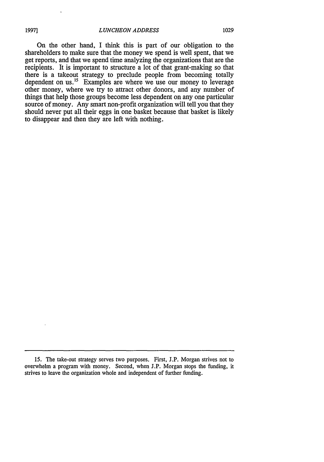On the other hand, I think this is part of our obligation to the shareholders to make sure that the money we spend is well spent, that we get reports, and that we spend time analyzing the organizations that are the recipients. It is important to structure a lot of that grant-making so that there is a takeout strategy to preclude people from becoming totally dependent on us. $^{15}$  Examples are where we use our money to leverage other money, where we try to attract other donors, and any number of things that help those groups become less dependent on any one particular source of money. Any smart non-profit organization will tell you that they should never put all their eggs in one basket because that basket is likely to disappear and then they are left with nothing.

**<sup>15.</sup>** The take-out strategy serves two purposes. First, **J.P.** Morgan strives not to overwhelm a program with money. Second, when J.P. Morgan stops the funding, it strives to leave the organization whole and independent of further funding.